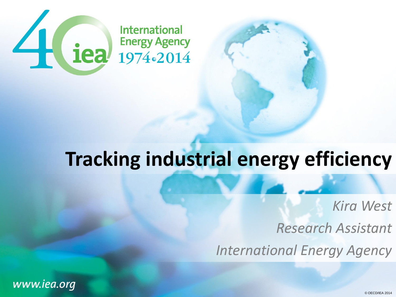

## **Tracking industrial energy efficiency**

*Kira West*

*Research Assistant*

*International Energy Agency*

www.iea.org

© OECD/IEA 2014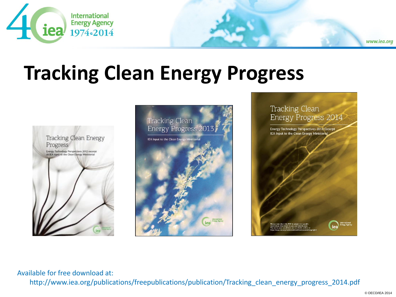

# **Tracking Clean Energy Progress**







Available for free download at:

http://www.iea.org/publications/freepublications/publication/Tracking clean energy progress 2014.pdf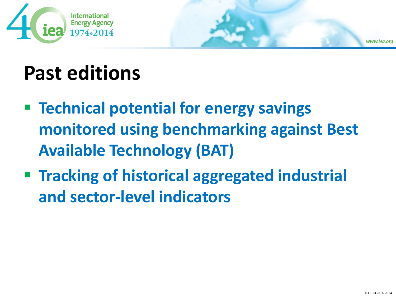



## **Past editions**

- **Technical potential for energy savings monitored using benchmarking against Best Available Technology (BAT)**
- **Tracking of historical aggregated industrial and sector-level indicators**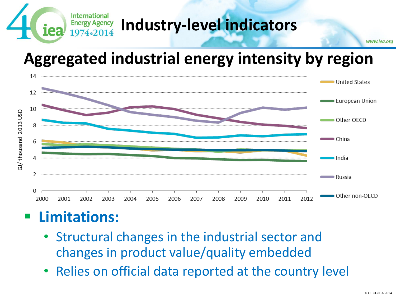

### **Energy Agency** Industry-level indicators

### **Aggregated industrial energy intensity by region**



### **Limitations:**

- Structural changes in the industrial sector and changes in product value/quality embedded
- Relies on official data reported at the country level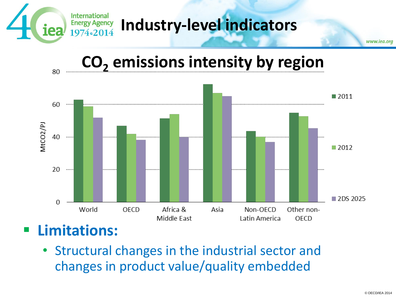

### **CO<sup>2</sup> emissions intensity by region**



• Structural changes in the industrial sector and changes in product value/quality embedded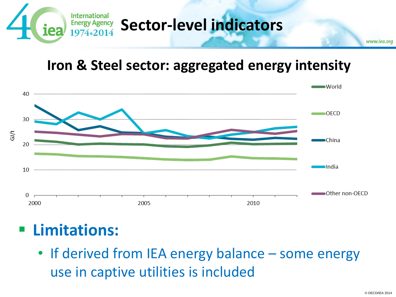

#### **Iron & Steel sector: aggregated energy intensity**



### **Limitations:**

• If derived from IEA energy balance – some energy use in captive utilities is included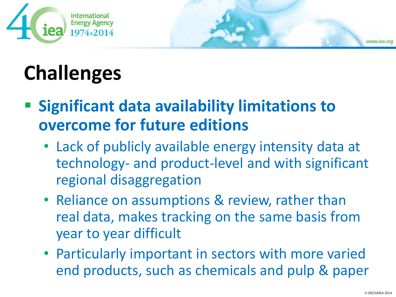

# **Challenges**

- **Example 2 Significant data availability limitations to overcome for future editions**
	- Lack of publicly available energy intensity data at technology- and product-level and with significant regional disaggregation
	- Reliance on assumptions & review, rather than real data, makes tracking on the same basis from year to year difficult
	- Particularly important in sectors with more varied end products, such as chemicals and pulp & paper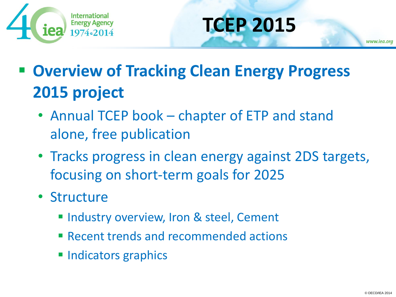

# **TCEP 2015**

 **Overview of Tracking Clean Energy Progress 2015 project**

- Annual TCEP book chapter of ETP and stand alone, free publication
- Tracks progress in clean energy against 2DS targets, focusing on short-term goals for 2025
- Structure
	- **Industry overview, Iron & steel, Cement**
	- **Execute Figure 2 rand recommended actions**
	- **Indicators graphics**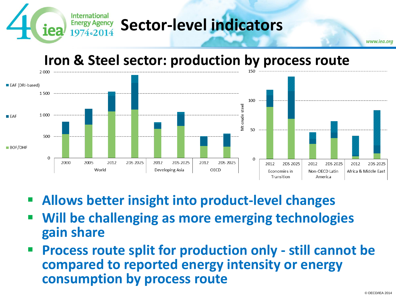

#### **Iron & Steel sector: production by process route**



- **Allows better insight into product-level changes**
- **Will be challenging as more emerging technologies gain share**
- **Process route split for production only - still cannot be compared to reported energy intensity or energy consumption by process route**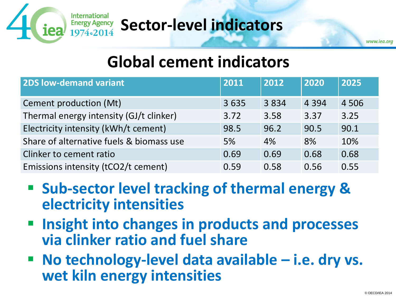

### **Energy Agency** Sector-level indicators

#### **Global cement indicators**

| <b>2DS low-demand variant</b>            | 2011 | 2012 | 2020    | 2025    |
|------------------------------------------|------|------|---------|---------|
| Cement production (Mt)                   | 3635 | 3834 | 4 3 9 4 | 4 5 0 6 |
| Thermal energy intensity (GJ/t clinker)  | 3.72 | 3.58 | 3.37    | 3.25    |
| Electricity intensity (kWh/t cement)     | 98.5 | 96.2 | 90.5    | 90.1    |
| Share of alternative fuels & biomass use | 5%   | 4%   | 8%      | 10%     |
| Clinker to cement ratio                  | 0.69 | 0.69 | 0.68    | 0.68    |
| Emissions intensity (tCO2/t cement)      | 0.59 | 0.58 | 0.56    | 0.55    |

- Sub-sector level tracking of thermal energy & **electricity intensities**
- **Insight into changes in products and processes via clinker ratio and fuel share**
- No technology-level data available i.e. dry vs. **wet kiln energy intensities**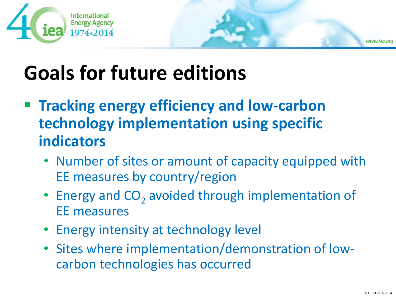



- **Tracking energy efficiency and low-carbon technology implementation using specific indicators**
	- Number of sites or amount of capacity equipped with EE measures by country/region
	- $\bullet$  Energy and  $\text{CO}_2$  avoided through implementation of EE measures
	- Energy intensity at technology level
	- Sites where implementation/demonstration of lowcarbon technologies has occurred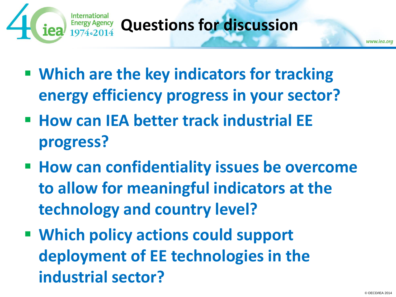

### **Questions for discussion**

- **Which are the key indicators for tracking energy efficiency progress in your sector?**
- **How can IEA better track industrial EE progress?**
- **How can confidentiality issues be overcome to allow for meaningful indicators at the technology and country level?**
- **Which policy actions could support deployment of EE technologies in the industrial sector?**